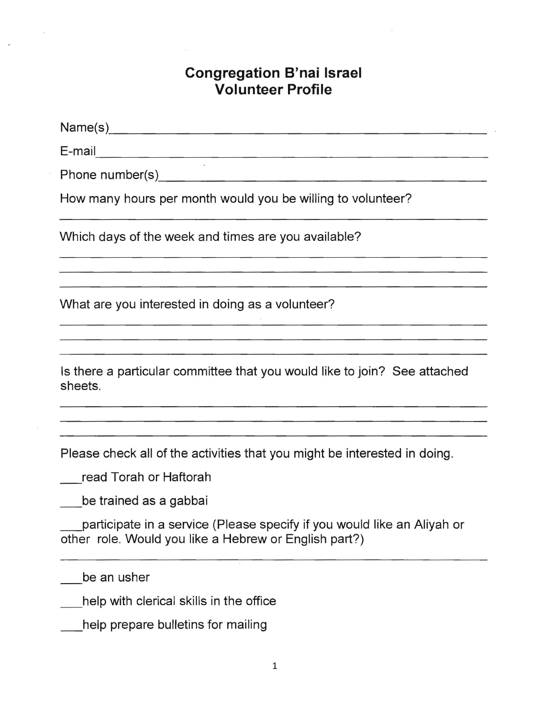# **Congregation B'nai Israel Volunteer Profile**

Name(s)\_\_\_\_\_\_\_\_\_\_\_\_\_\_\_\_\_\_\_\_\_~\_ ------------------------------------------------- E-mail Phone n u m ber( s ) \_\_\_\_\_\_\_\_\_\_\_\_\_\_\_\_\_\_\_\_\_\_\_\_\_\_\_\_\_\_\_\_\_\_\_\_\_\_\_ How many hours per month would you be willing to volunteer? Which days of the week and times are you available? <u> 1989 - John Harry Harry Harry Harry Harry Harry Harry Harry Harry Harry Harry Harry Harry Harry Harry Harry H</u> What are you interested in doing as a volunteer? Is there a particular committee that you would like to join? See attached sheets. Please check all of the activities that you might be interested in doing. read Torah or Haftorah be trained as a gabbai participate in a service (Please specify if you would like an Aliyah or other role. Would you like a Hebrew or English part?)

be an usher

help with clerical skills in the office

help prepare bulletins for mailing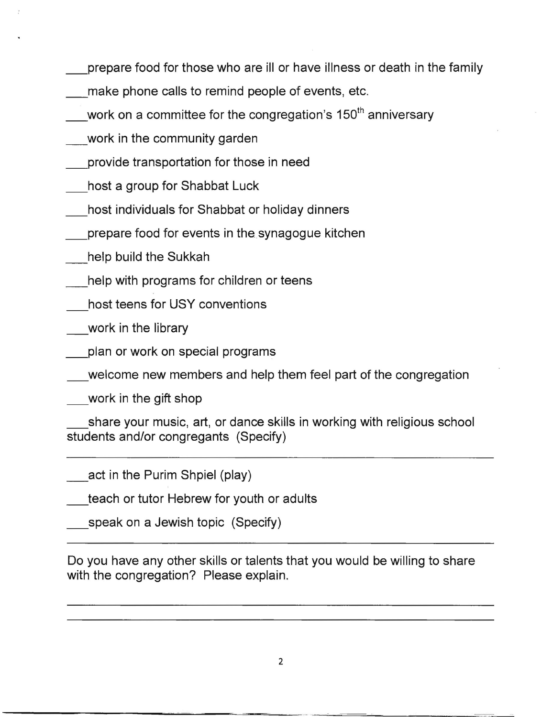- prepare food for those who are ill or have illness or death in the family
- make phone calls to remind people of events, etc.
- work on a committee for the congregation's 150 $^{\rm th}$  anniversary
- work in the community garden
- \_provide transportation for those in need
- host a group for Shabbat Luck
- host individuals for Shabbat or holiday dinners
- \_prepare food for events in the synagogue kitchen
- \_help build the Sukkah
- help with programs for children or teens
- host teens for USY conventions
- \_work in the library
- \_plan or work on special programs
- welcome new members and help them feel part of the congregation

\_work in the gift shop

share your music, art, or dance skills in working with religious school students and/or congregants (Specify)

act in the Purim Shpiel (play)

teach or tutor Hebrew for youth or adults

speak on a Jewish topic (Specify)

Do you have any other skills or talents that you would be willing to share with the congregation? Please explain.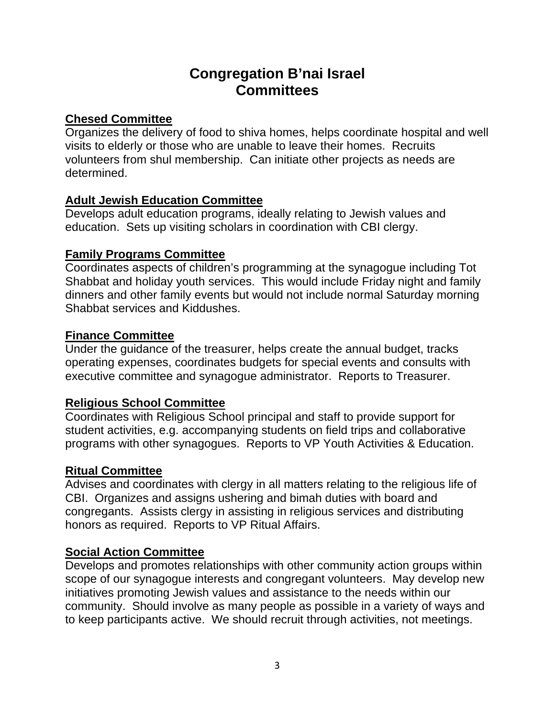# **Congregation B'nai Israel Committees**

## **Chesed Committee**

Organizes the delivery of food to shiva homes, helps coordinate hospital and well visits to elderly or those who are unable to leave their homes. Recruits volunteers from shul membership. Can initiate other projects as needs are determined.

## **Adult Jewish Education Committee**

Develops adult education programs, ideally relating to Jewish values and education. Sets up visiting scholars in coordination with CBI clergy.

#### **Family Programs Committee**

Coordinates aspects of children's programming at the synagogue including Tot Shabbat and holiday youth services. This would include Friday night and family dinners and other family events but would not include normal Saturday morning Shabbat services and Kiddushes.

## **Finance Committee**

Under the guidance of the treasurer, helps create the annual budget, tracks operating expenses, coordinates budgets for special events and consults with executive committee and synagogue administrator. Reports to Treasurer.

## **Religious School Committee**

Coordinates with Religious School principal and staff to provide support for student activities, e.g. accompanying students on field trips and collaborative programs with other synagogues. Reports to VP Youth Activities & Education.

## **Ritual Committee**

Advises and coordinates with clergy in all matters relating to the religious life of CBI. Organizes and assigns ushering and bimah duties with board and congregants. Assists clergy in assisting in religious services and distributing honors as required. Reports to VP Ritual Affairs.

## **Social Action Committee**

Develops and promotes relationships with other community action groups within scope of our synagogue interests and congregant volunteers. May develop new initiatives promoting Jewish values and assistance to the needs within our community. Should involve as many people as possible in a variety of ways and to keep participants active. We should recruit through activities, not meetings.